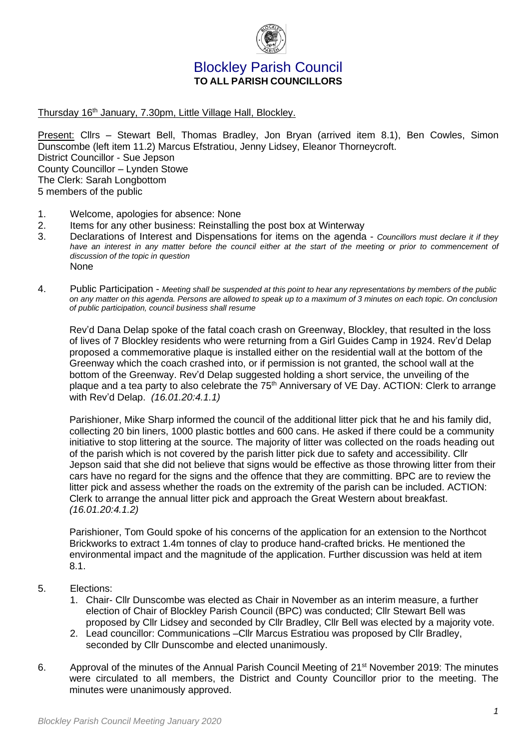

# Blockley Parish Council **TO ALL PARISH COUNCILLORS**

Thursday 16<sup>th</sup> January, 7.30pm, Little Village Hall, Blockley.

Present: Cllrs – Stewart Bell, Thomas Bradley, Jon Bryan (arrived item 8.1), Ben Cowles, Simon Dunscombe (left item 11.2) Marcus Efstratiou, Jenny Lidsey, Eleanor Thorneycroft. District Councillor - Sue Jepson County Councillor – Lynden Stowe The Clerk: Sarah Longbottom 5 members of the public

- 1. Welcome, apologies for absence: None
- 2. Items for any other business: Reinstalling the post box at Winterway
- 3. Declarations of Interest and Dispensations for items on the agenda *Councillors must declare it if they*  have an interest in any matter before the council either at the start of the meeting or prior to commencement of *discussion of the topic in question* None
- 4. Public Participation *Meeting shall be suspended at this point to hear any representations by members of the public on any matter on this agenda. Persons are allowed to speak up to a maximum of 3 minutes on each topic. On conclusion of public participation, council business shall resume*

Rev'd Dana Delap spoke of the fatal coach crash on Greenway, Blockley, that resulted in the loss of lives of 7 Blockley residents who were returning from a Girl Guides Camp in 1924. Rev'd Delap proposed a commemorative plaque is installed either on the residential wall at the bottom of the Greenway which the coach crashed into, or if permission is not granted, the school wall at the bottom of the Greenway. Rev'd Delap suggested holding a short service, the unveiling of the plaque and a tea party to also celebrate the 75<sup>th</sup> Anniversary of VE Day. ACTION: Clerk to arrange with Rev'd Delap. *(16.01.20:4.1.1)* 

Parishioner, Mike Sharp informed the council of the additional litter pick that he and his family did, collecting 20 bin liners, 1000 plastic bottles and 600 cans. He asked if there could be a community initiative to stop littering at the source. The majority of litter was collected on the roads heading out of the parish which is not covered by the parish litter pick due to safety and accessibility. Cllr Jepson said that she did not believe that signs would be effective as those throwing litter from their cars have no regard for the signs and the offence that they are committing. BPC are to review the litter pick and assess whether the roads on the extremity of the parish can be included. ACTION: Clerk to arrange the annual litter pick and approach the Great Western about breakfast. *(16.01.20:4.1.2)*

Parishioner, Tom Gould spoke of his concerns of the application for an extension to the Northcot Brickworks to extract 1.4m tonnes of clay to produce hand-crafted bricks. He mentioned the environmental impact and the magnitude of the application. Further discussion was held at item 8.1.

- 5. Elections:
	- 1. Chair- Cllr Dunscombe was elected as Chair in November as an interim measure, a further election of Chair of Blockley Parish Council (BPC) was conducted; Cllr Stewart Bell was proposed by Cllr Lidsey and seconded by Cllr Bradley, Cllr Bell was elected by a majority vote.
	- 2. Lead councillor: Communications –Cllr Marcus Estratiou was proposed by Cllr Bradley, seconded by Cllr Dunscombe and elected unanimously.
- 6. Approval of the minutes of the Annual Parish Council Meeting of 21<sup>st</sup> November 2019: The minutes were circulated to all members, the District and County Councillor prior to the meeting. The minutes were unanimously approved.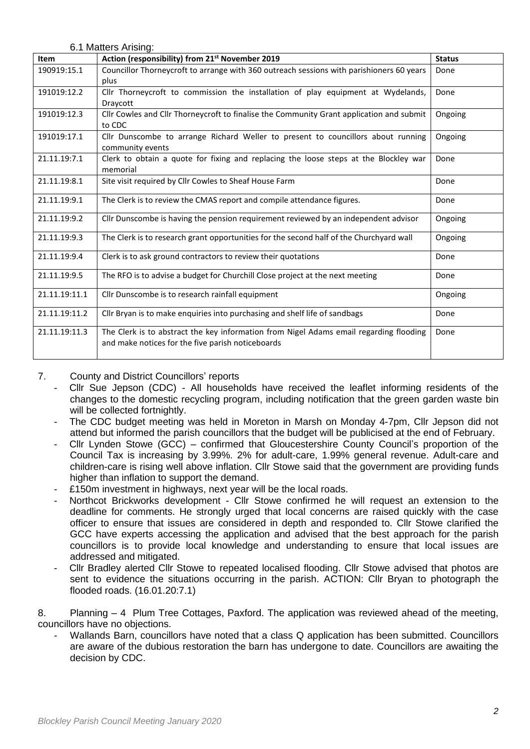6.1 Matters Arising:

| <b>Item</b>   | Action (responsibility) from 21 <sup>st</sup> November 2019                              | <b>Status</b> |
|---------------|------------------------------------------------------------------------------------------|---------------|
| 190919:15.1   | Councillor Thorneycroft to arrange with 360 outreach sessions with parishioners 60 years | Done          |
|               | plus                                                                                     |               |
| 191019:12.2   | Cllr Thorneycroft to commission the installation of play equipment at Wydelands,         | Done          |
|               | Draycott                                                                                 |               |
| 191019:12.3   | Cllr Cowles and Cllr Thorneycroft to finalise the Community Grant application and submit | Ongoing       |
|               | to CDC                                                                                   |               |
| 191019:17.1   | Cllr Dunscombe to arrange Richard Weller to present to councillors about running         | Ongoing       |
|               | community events                                                                         |               |
| 21.11.19:7.1  | Clerk to obtain a quote for fixing and replacing the loose steps at the Blockley war     | Done          |
|               | memorial                                                                                 |               |
| 21.11.19:8.1  | Site visit required by Cllr Cowles to Sheaf House Farm                                   | Done          |
|               |                                                                                          |               |
| 21.11.19:9.1  | The Clerk is to review the CMAS report and compile attendance figures.                   | Done          |
|               |                                                                                          |               |
| 21.11.19:9.2  | Cllr Dunscombe is having the pension requirement reviewed by an independent advisor      | Ongoing       |
| 21.11.19:9.3  | The Clerk is to research grant opportunities for the second half of the Churchyard wall  | Ongoing       |
|               |                                                                                          |               |
| 21.11.19:9.4  | Clerk is to ask ground contractors to review their quotations                            | Done          |
| 21.11.19:9.5  | The RFO is to advise a budget for Churchill Close project at the next meeting            | Done          |
|               |                                                                                          |               |
| 21.11.19:11.1 | Cllr Dunscombe is to research rainfall equipment                                         | Ongoing       |
|               |                                                                                          |               |
| 21.11.19:11.2 | Cllr Bryan is to make enquiries into purchasing and shelf life of sandbags               | Done          |
| 21.11.19:11.3 | The Clerk is to abstract the key information from Nigel Adams email regarding flooding   | Done          |
|               | and make notices for the five parish noticeboards                                        |               |
|               |                                                                                          |               |

## 7. County and District Councillors' reports

- Cllr Sue Jepson (CDC) All households have received the leaflet informing residents of the changes to the domestic recycling program, including notification that the green garden waste bin will be collected fortnightly.
- The CDC budget meeting was held in Moreton in Marsh on Monday 4-7pm, Cllr Jepson did not attend but informed the parish councillors that the budget will be publicised at the end of February.
- Cllr Lynden Stowe (GCC) confirmed that Gloucestershire County Council's proportion of the Council Tax is increasing by 3.99%. 2% for adult-care, 1.99% general revenue. Adult-care and children-care is rising well above inflation. Cllr Stowe said that the government are providing funds higher than inflation to support the demand.
- £150m investment in highways, next year will be the local roads.
- Northcot Brickworks development Cllr Stowe confirmed he will request an extension to the deadline for comments. He strongly urged that local concerns are raised quickly with the case officer to ensure that issues are considered in depth and responded to. Cllr Stowe clarified the GCC have experts accessing the application and advised that the best approach for the parish councillors is to provide local knowledge and understanding to ensure that local issues are addressed and mitigated.
- Cllr Bradley alerted Cllr Stowe to repeated localised flooding. Cllr Stowe advised that photos are sent to evidence the situations occurring in the parish. ACTION: Cllr Bryan to photograph the flooded roads. (16.01.20:7.1)

8. Planning – 4 Plum Tree Cottages, Paxford. The application was reviewed ahead of the meeting, councillors have no objections.

Wallands Barn, councillors have noted that a class Q application has been submitted. Councillors are aware of the dubious restoration the barn has undergone to date. Councillors are awaiting the decision by CDC.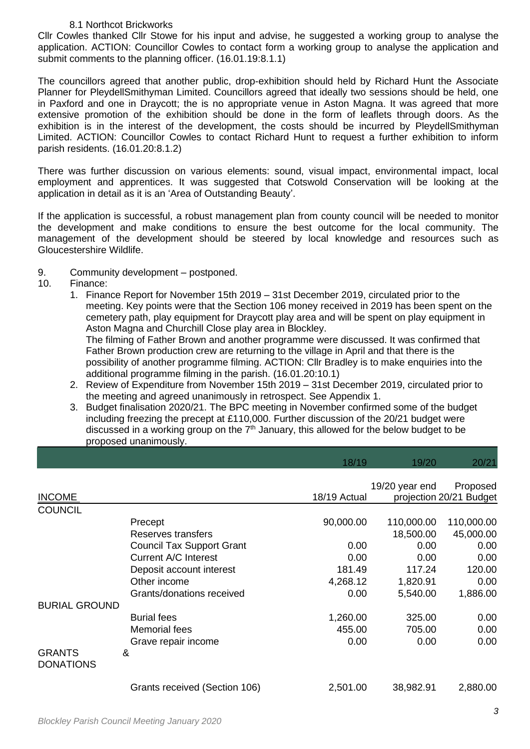## 8.1 Northcot Brickworks

Cllr Cowles thanked Cllr Stowe for his input and advise, he suggested a working group to analyse the application. ACTION: Councillor Cowles to contact form a working group to analyse the application and submit comments to the planning officer. (16.01.19:8.1.1)

The councillors agreed that another public, drop-exhibition should held by Richard Hunt the Associate Planner for PleydellSmithyman Limited. Councillors agreed that ideally two sessions should be held, one in Paxford and one in Draycott; the is no appropriate venue in Aston Magna. It was agreed that more extensive promotion of the exhibition should be done in the form of leaflets through doors. As the exhibition is in the interest of the development, the costs should be incurred by PleydellSmithyman Limited. ACTION: Councillor Cowles to contact Richard Hunt to request a further exhibition to inform parish residents. (16.01.20:8.1.2)

There was further discussion on various elements: sound, visual impact, environmental impact, local employment and apprentices. It was suggested that Cotswold Conservation will be looking at the application in detail as it is an 'Area of Outstanding Beauty'.

If the application is successful, a robust management plan from county council will be needed to monitor the development and make conditions to ensure the best outcome for the local community. The management of the development should be steered by local knowledge and resources such as Gloucestershire Wildlife.

- 9. Community development postponed.
- 10. Finance:
	- 1. Finance Report for November 15th 2019 31st December 2019, circulated prior to the meeting. Key points were that the Section 106 money received in 2019 has been spent on the cemetery path, play equipment for Draycott play area and will be spent on play equipment in Aston Magna and Churchill Close play area in Blockley.

The filming of Father Brown and another programme were discussed. It was confirmed that Father Brown production crew are returning to the village in April and that there is the possibility of another programme filming. ACTION: Cllr Bradley is to make enquiries into the additional programme filming in the parish. (16.01.20:10.1)

- 2. Review of Expenditure from November 15th 2019 31st December 2019, circulated prior to the meeting and agreed unanimously in retrospect. See Appendix 1.
- 3. Budget finalisation 2020/21. The BPC meeting in November confirmed some of the budget including freezing the precept at £110,000. Further discussion of the 20/21 budget were discussed in a working group on the  $7<sup>th</sup>$  January, this allowed for the below budget to be proposed unanimously.

|                                   |                                  | 18/19        | 19/20          | 20/21                   |
|-----------------------------------|----------------------------------|--------------|----------------|-------------------------|
|                                   |                                  |              |                |                         |
|                                   |                                  |              | 19/20 year end | Proposed                |
| <b>INCOME</b>                     |                                  | 18/19 Actual |                | projection 20/21 Budget |
| <b>COUNCIL</b>                    |                                  |              |                |                         |
|                                   | Precept                          | 90,000.00    | 110,000.00     | 110,000.00              |
|                                   | Reserves transfers               |              | 18,500.00      | 45,000.00               |
|                                   | <b>Council Tax Support Grant</b> | 0.00         | 0.00           | 0.00                    |
|                                   | Current A/C Interest             | 0.00         | 0.00           | 0.00                    |
|                                   | Deposit account interest         | 181.49       | 117.24         | 120.00                  |
|                                   | Other income                     | 4,268.12     | 1,820.91       | 0.00                    |
|                                   | Grants/donations received        | 0.00         | 5,540.00       | 1,886.00                |
| <b>BURIAL GROUND</b>              |                                  |              |                |                         |
|                                   | <b>Burial fees</b>               | 1,260.00     | 325.00         | 0.00                    |
|                                   | <b>Memorial fees</b>             | 455.00       | 705.00         | 0.00                    |
|                                   | Grave repair income              | 0.00         | 0.00           | 0.00                    |
| <b>GRANTS</b><br><b>DONATIONS</b> | &                                |              |                |                         |
|                                   | Grants received (Section 106)    | 2,501.00     | 38,982.91      | 2,880.00                |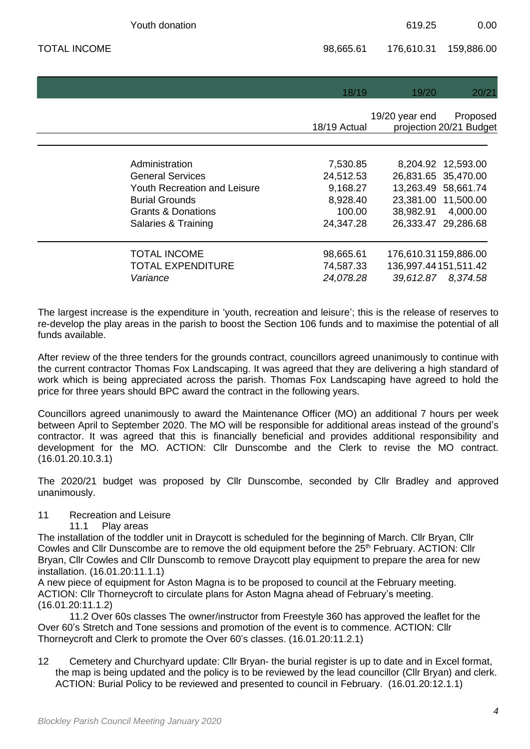|                     | Youth donation                      |              | 619.25         | 0.00                    |
|---------------------|-------------------------------------|--------------|----------------|-------------------------|
| <b>TOTAL INCOME</b> |                                     | 98,665.61    | 176,610.31     | 159,886.00              |
|                     |                                     |              |                |                         |
|                     |                                     | 18/19        | 19/20          | 20/21                   |
|                     |                                     |              | 19/20 year end | Proposed                |
|                     |                                     | 18/19 Actual |                | projection 20/21 Budget |
|                     |                                     |              |                |                         |
|                     | Administration                      | 7,530.85     |                | 8,204.92 12,593.00      |
|                     | <b>General Services</b>             | 24,512.53    |                | 26,831.65 35,470.00     |
|                     | <b>Youth Recreation and Leisure</b> | 9,168.27     |                | 13,263.49 58,661.74     |
|                     | <b>Burial Grounds</b>               | 8,928.40     |                | 23,381.00 11,500.00     |
|                     | <b>Grants &amp; Donations</b>       | 100.00       | 38,982.91      | 4,000.00                |
|                     | Salaries & Training                 | 24,347.28    |                | 26,333.47 29,286.68     |
|                     | <b>TOTAL INCOME</b>                 | 98,665.61    |                | 176,610.31159,886.00    |
|                     | <b>TOTAL EXPENDITURE</b>            | 74,587.33    |                | 136,997.44151,511.42    |
|                     | Variance                            | 24,078.28    | 39,612.87      | 8,374.58                |

The largest increase is the expenditure in 'youth, recreation and leisure'; this is the release of reserves to re-develop the play areas in the parish to boost the Section 106 funds and to maximise the potential of all funds available.

After review of the three tenders for the grounds contract, councillors agreed unanimously to continue with the current contractor Thomas Fox Landscaping. It was agreed that they are delivering a high standard of work which is being appreciated across the parish. Thomas Fox Landscaping have agreed to hold the price for three years should BPC award the contract in the following years.

Councillors agreed unanimously to award the Maintenance Officer (MO) an additional 7 hours per week between April to September 2020. The MO will be responsible for additional areas instead of the ground's contractor. It was agreed that this is financially beneficial and provides additional responsibility and development for the MO. ACTION: Cllr Dunscombe and the Clerk to revise the MO contract. (16.01.20.10.3.1)

The 2020/21 budget was proposed by Cllr Dunscombe, seconded by Cllr Bradley and approved unanimously.

## 11 Recreation and Leisure

11.1 Play areas

The installation of the toddler unit in Draycott is scheduled for the beginning of March. Cllr Bryan, Cllr Cowles and Cllr Dunscombe are to remove the old equipment before the 25<sup>th</sup> February. ACTION: Cllr Bryan, Cllr Cowles and Cllr Dunscomb to remove Draycott play equipment to prepare the area for new installation. (16.01.20:11.1.1)

A new piece of equipment for Aston Magna is to be proposed to council at the February meeting. ACTION: Cllr Thorneycroft to circulate plans for Aston Magna ahead of February's meeting. (16.01.20:11.1.2)

11.2 Over 60s classes The owner/instructor from Freestyle 360 has approved the leaflet for the Over 60's Stretch and Tone sessions and promotion of the event is to commence. ACTION: Cllr Thorneycroft and Clerk to promote the Over 60's classes. (16.01.20:11.2.1)

12 Cemetery and Churchyard update: Cllr Bryan- the burial register is up to date and in Excel format, the map is being updated and the policy is to be reviewed by the lead councillor (Cllr Bryan) and clerk. ACTION: Burial Policy to be reviewed and presented to council in February. (16.01.20:12.1.1)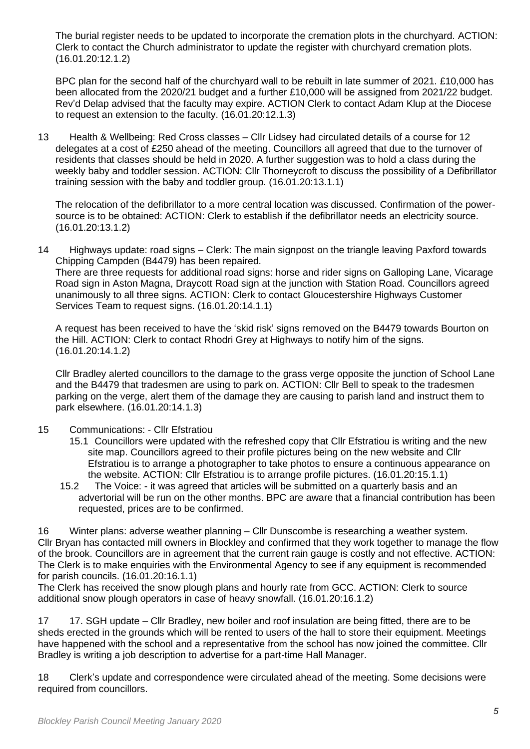The burial register needs to be updated to incorporate the cremation plots in the churchyard. ACTION: Clerk to contact the Church administrator to update the register with churchyard cremation plots. (16.01.20:12.1.2)

BPC plan for the second half of the churchyard wall to be rebuilt in late summer of 2021. £10,000 has been allocated from the 2020/21 budget and a further £10,000 will be assigned from 2021/22 budget. Rev'd Delap advised that the faculty may expire. ACTION Clerk to contact Adam Klup at the Diocese to request an extension to the faculty. (16.01.20:12.1.3)

13 Health & Wellbeing: Red Cross classes – Cllr Lidsey had circulated details of a course for 12 delegates at a cost of £250 ahead of the meeting. Councillors all agreed that due to the turnover of residents that classes should be held in 2020. A further suggestion was to hold a class during the weekly baby and toddler session. ACTION: Cllr Thorneycroft to discuss the possibility of a Defibrillator training session with the baby and toddler group. (16.01.20:13.1.1)

The relocation of the defibrillator to a more central location was discussed. Confirmation of the powersource is to be obtained: ACTION: Clerk to establish if the defibrillator needs an electricity source. (16.01.20:13.1.2)

14 Highways update: road signs – Clerk: The main signpost on the triangle leaving Paxford towards Chipping Campden (B4479) has been repaired. There are three requests for additional road signs: horse and rider signs on Galloping Lane, Vicarage Road sign in Aston Magna, Draycott Road sign at the junction with Station Road. Councillors agreed unanimously to all three signs. ACTION: Clerk to contact Gloucestershire Highways Customer Services Team to request signs. (16.01.20:14.1.1)

A request has been received to have the 'skid risk' signs removed on the B4479 towards Bourton on the Hill. ACTION: Clerk to contact Rhodri Grey at Highways to notify him of the signs. (16.01.20:14.1.2)

Cllr Bradley alerted councillors to the damage to the grass verge opposite the junction of School Lane and the B4479 that tradesmen are using to park on. ACTION: Cllr Bell to speak to the tradesmen parking on the verge, alert them of the damage they are causing to parish land and instruct them to park elsewhere. (16.01.20:14.1.3)

- 15 Communications: Cllr Efstratiou
	- 15.1 Councillors were updated with the refreshed copy that Cllr Efstratiou is writing and the new site map. Councillors agreed to their profile pictures being on the new website and Cllr Efstratiou is to arrange a photographer to take photos to ensure a continuous appearance on the website. ACTION: Cllr Efstratiou is to arrange profile pictures. (16.01.20:15.1.1)
	- 15.2 The Voice: it was agreed that articles will be submitted on a quarterly basis and an advertorial will be run on the other months. BPC are aware that a financial contribution has been requested, prices are to be confirmed.

16 Winter plans: adverse weather planning – Cllr Dunscombe is researching a weather system. Cllr Bryan has contacted mill owners in Blockley and confirmed that they work together to manage the flow of the brook. Councillors are in agreement that the current rain gauge is costly and not effective. ACTION: The Clerk is to make enquiries with the Environmental Agency to see if any equipment is recommended for parish councils. (16.01.20:16.1.1)

The Clerk has received the snow plough plans and hourly rate from GCC. ACTION: Clerk to source additional snow plough operators in case of heavy snowfall. (16.01.20:16.1.2)

17 17. SGH update – Cllr Bradley, new boiler and roof insulation are being fitted, there are to be sheds erected in the grounds which will be rented to users of the hall to store their equipment. Meetings have happened with the school and a representative from the school has now joined the committee. Cllr Bradley is writing a job description to advertise for a part-time Hall Manager.

18 Clerk's update and correspondence were circulated ahead of the meeting. Some decisions were required from councillors.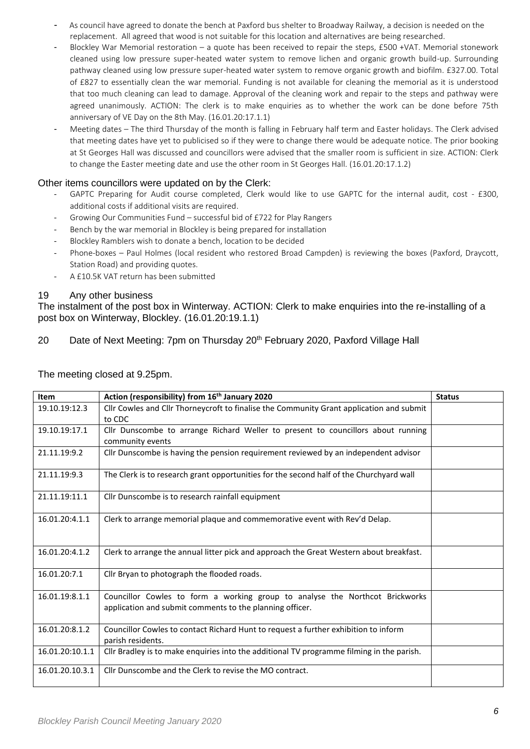- As council have agreed to donate the bench at Paxford bus shelter to Broadway Railway, a decision is needed on the replacement. All agreed that wood is not suitable for this location and alternatives are being researched.
- Blockley War Memorial restoration a quote has been received to repair the steps, £500 +VAT. Memorial stonework cleaned using low pressure super-heated water system to remove lichen and organic growth build-up. Surrounding pathway cleaned using low pressure super-heated water system to remove organic growth and biofilm. £327.00. Total of £827 to essentially clean the war memorial. Funding is not available for cleaning the memorial as it is understood that too much cleaning can lead to damage. Approval of the cleaning work and repair to the steps and pathway were agreed unanimously. ACTION: The clerk is to make enquiries as to whether the work can be done before 75th anniversary of VE Day on the 8th May. (16.01.20:17.1.1)
- Meeting dates The third Thursday of the month is falling in February half term and Easter holidays. The Clerk advised that meeting dates have yet to publicised so if they were to change there would be adequate notice. The prior booking at St Georges Hall was discussed and councillors were advised that the smaller room is sufficient in size. ACTION: Clerk to change the Easter meeting date and use the other room in St Georges Hall. (16.01.20:17.1.2)

#### Other items councillors were updated on by the Clerk:

- GAPTC Preparing for Audit course completed, Clerk would like to use GAPTC for the internal audit, cost £300, additional costs if additional visits are required.
- Growing Our Communities Fund successful bid of £722 for Play Rangers
- Bench by the war memorial in Blockley is being prepared for installation
- Blockley Ramblers wish to donate a bench, location to be decided
- Phone-boxes Paul Holmes (local resident who restored Broad Campden) is reviewing the boxes (Paxford, Draycott, Station Road) and providing quotes.
- A £10.5K VAT return has been submitted

#### 19 Any other business

The instalment of the post box in Winterway. ACTION: Clerk to make enquiries into the re-installing of a post box on Winterway, Blockley. (16.01.20:19.1.1)

## 20 Date of Next Meeting: 7pm on Thursday 20<sup>th</sup> February 2020, Paxford Village Hall

| Item            | Action (responsibility) from 16 <sup>th</sup> January 2020                                                                               | <b>Status</b> |
|-----------------|------------------------------------------------------------------------------------------------------------------------------------------|---------------|
| 19.10.19:12.3   | Cllr Cowles and Cllr Thorneycroft to finalise the Community Grant application and submit<br>to CDC                                       |               |
| 19.10.19:17.1   | Cllr Dunscombe to arrange Richard Weller to present to councillors about running<br>community events                                     |               |
| 21.11.19:9.2    | Cllr Dunscombe is having the pension requirement reviewed by an independent advisor                                                      |               |
| 21.11.19:9.3    | The Clerk is to research grant opportunities for the second half of the Churchyard wall                                                  |               |
| 21.11.19:11.1   | Cllr Dunscombe is to research rainfall equipment                                                                                         |               |
| 16.01.20:4.1.1  | Clerk to arrange memorial plaque and commemorative event with Rev'd Delap.                                                               |               |
| 16.01.20:4.1.2  | Clerk to arrange the annual litter pick and approach the Great Western about breakfast.                                                  |               |
| 16.01.20:7.1    | Cllr Bryan to photograph the flooded roads.                                                                                              |               |
| 16.01.19:8.1.1  | Councillor Cowles to form a working group to analyse the Northcot Brickworks<br>application and submit comments to the planning officer. |               |
| 16.01.20:8.1.2  | Councillor Cowles to contact Richard Hunt to request a further exhibition to inform<br>parish residents.                                 |               |
| 16.01.20:10.1.1 | Cllr Bradley is to make enquiries into the additional TV programme filming in the parish.                                                |               |
| 16.01.20.10.3.1 | Cllr Dunscombe and the Clerk to revise the MO contract.                                                                                  |               |

The meeting closed at 9.25pm.